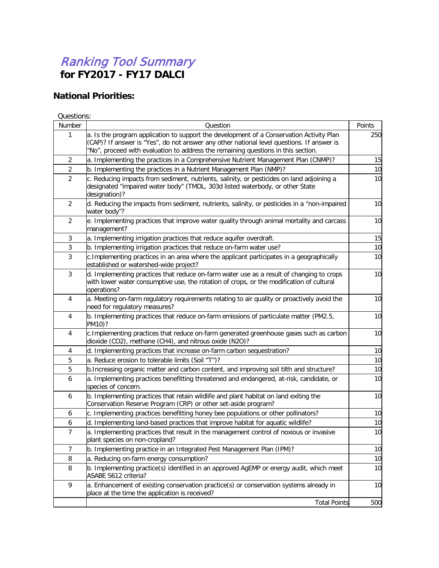## Ranking Tool Summary **for FY2017 - FY17 DALCI**

## **National Priorities:**

Questions:

| Number         | Question                                                                                                                                                                                                                                                                   | Points |
|----------------|----------------------------------------------------------------------------------------------------------------------------------------------------------------------------------------------------------------------------------------------------------------------------|--------|
| 1              | a. Is the program application to support the development of a Conservation Activity Plan<br>(CAP)? If answer is "Yes", do not answer any other national level questions. If answer is<br>"No", proceed with evaluation to address the remaining questions in this section. | 250    |
| $\overline{2}$ | a. Implementing the practices in a Comprehensive Nutrient Management Plan (CNMP)?                                                                                                                                                                                          | 15     |
| $\overline{2}$ | b. Implementing the practices in a Nutrient Management Plan (NMP)?                                                                                                                                                                                                         | 10     |
| $\overline{2}$ | c. Reducing impacts from sediment, nutrients, salinity, or pesticides on land adjoining a<br>designated "impaired water body" (TMDL, 303d listed waterbody, or other State<br>designation)?                                                                                | 10     |
| $\overline{2}$ | d. Reducing the impacts from sediment, nutrients, salinity, or pesticides in a "non-impaired<br>water body"?                                                                                                                                                               | 10     |
| $\overline{2}$ | e. Implementing practices that improve water quality through animal mortality and carcass<br>management?                                                                                                                                                                   | 10     |
| 3              | a. Implementing irrigation practices that reduce aquifer overdraft.                                                                                                                                                                                                        | 15     |
| 3              | b. Implementing irrigation practices that reduce on-farm water use?                                                                                                                                                                                                        | 10     |
| 3              | c. Implementing practices in an area where the applicant participates in a geographically<br>established or watershed-wide project?                                                                                                                                        | 10     |
| 3              | d. Implementing practices that reduce on-farm water use as a result of changing to crops<br>with lower water consumptive use, the rotation of crops, or the modification of cultural<br>operations?                                                                        | 10     |
| 4              | a. Meeting on-farm regulatory requirements relating to air quality or proactively avoid the<br>need for regulatory measures?                                                                                                                                               | 10     |
| 4              | b. Implementing practices that reduce on-farm emissions of particulate matter (PM2.5,<br>PM10)?                                                                                                                                                                            | 10     |
| 4              | c. Implementing practices that reduce on-farm generated greenhouse gases such as carbon<br>dioxide (CO2), methane (CH4), and nitrous oxide (N2O)?                                                                                                                          | 10     |
| 4              | d. Implementing practices that increase on-farm carbon sequestration?                                                                                                                                                                                                      | 10     |
| 5              | a. Reduce erosion to tolerable limits (Soil "T")?                                                                                                                                                                                                                          | 10     |
| 5              | b. Increasing organic matter and carbon content, and improving soil tilth and structure?                                                                                                                                                                                   | 10     |
| 6              | a. Implementing practices benefitting threatened and endangered, at-risk, candidate, or<br>species of concern.                                                                                                                                                             | 10     |
| 6              | b. Implementing practices that retain wildlife and plant habitat on land exiting the<br>Conservation Reserve Program (CRP) or other set-aside program?                                                                                                                     | 10     |
| 6              | c. Implementing practices benefitting honey bee populations or other pollinators?                                                                                                                                                                                          | 10     |
| 6              | d. Implementing land-based practices that improve habitat for aquatic wildlife?                                                                                                                                                                                            | 10     |
| $\overline{7}$ | a. Implementing practices that result in the management control of noxious or invasive<br>plant species on non-cropland?                                                                                                                                                   | 10     |
| $\overline{7}$ | b. Implementing practice in an Integrated Pest Management Plan (IPM)?                                                                                                                                                                                                      | 10     |
| 8              | a. Reducing on-farm energy consumption?                                                                                                                                                                                                                                    | 10     |
| 8              | b. Implementing practice(s) identified in an approved AgEMP or energy audit, which meet<br>ASABE S612 criteria?                                                                                                                                                            | 10     |
| 9              | a. Enhancement of existing conservation practice(s) or conservation systems already in<br>place at the time the application is received?                                                                                                                                   | 10     |
|                | <b>Total Points</b>                                                                                                                                                                                                                                                        | 500    |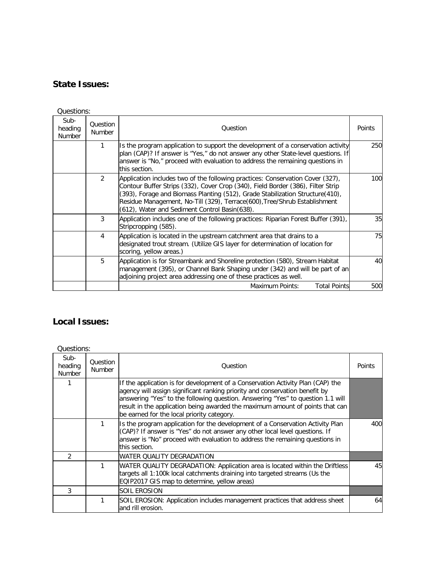## **State Issues:**

| Questions:                       |                           |                                                                                                                                                                                                                                                                                                                                                                                  |        |  |
|----------------------------------|---------------------------|----------------------------------------------------------------------------------------------------------------------------------------------------------------------------------------------------------------------------------------------------------------------------------------------------------------------------------------------------------------------------------|--------|--|
| Sub-<br>heading<br><b>Number</b> | Question<br><b>Number</b> | Ouestion                                                                                                                                                                                                                                                                                                                                                                         | Points |  |
|                                  | 1                         | Is the program application to support the development of a conservation activity<br>plan (CAP)? If answer is "Yes," do not answer any other State-level questions. If<br>answer is "No," proceed with evaluation to address the remaining questions in<br>this section.                                                                                                          | 250    |  |
|                                  | $\mathfrak{D}$            | Application includes two of the following practices: Conservation Cover (327),<br>Contour Buffer Strips (332), Cover Crop (340), Field Border (386), Filter Strip<br>(393), Forage and Biomass Planting (512), Grade Stabilization Structure(410),<br>Residue Management, No-Till (329), Terrace(600), Tree/Shrub Establishment<br>(612), Water and Sediment Control Basin(638). | 100    |  |
|                                  | 3                         | Application includes one of the following practices: Riparian Forest Buffer (391),<br>Stripcropping (585).                                                                                                                                                                                                                                                                       | 35     |  |
|                                  | 4                         | Application is located in the upstream catchment area that drains to a<br>designated trout stream. (Utilize GIS layer for determination of location for<br>scoring, yellow areas.)                                                                                                                                                                                               | 75     |  |
|                                  | 5                         | Application is for Streambank and Shoreline protection (580), Stream Habitat<br>management (395), or Channel Bank Shaping under (342) and will be part of an<br>adjoining project area addressing one of these practices as well.                                                                                                                                                | 40     |  |
|                                  |                           | Maximum Points:<br><b>Total Points</b>                                                                                                                                                                                                                                                                                                                                           | 500    |  |

## **Local Issues:**

Questions:

| Sub-<br>heading<br><b>Number</b> | <b>Question</b><br><b>Number</b> | Ouestion                                                                                                                                                                                                                                                                                                                                                                         | Points |
|----------------------------------|----------------------------------|----------------------------------------------------------------------------------------------------------------------------------------------------------------------------------------------------------------------------------------------------------------------------------------------------------------------------------------------------------------------------------|--------|
|                                  |                                  | If the application is for development of a Conservation Activity Plan (CAP) the<br>agency will assign significant ranking priority and conservation benefit by<br>answering "Yes" to the following question. Answering "Yes" to question 1.1 will<br>result in the application being awarded the maximum amount of points that can<br>be earned for the local priority category. |        |
|                                  |                                  | Is the program application for the development of a Conservation Activity Plan<br>(CAP)? If answer is "Yes" do not answer any other local level questions. If<br>answer is "No" proceed with evaluation to address the remaining questions in<br>this section.                                                                                                                   | 400    |
| $\mathcal{P}$                    |                                  | IWATER QUALITY DEGRADATION                                                                                                                                                                                                                                                                                                                                                       |        |
|                                  |                                  | WATER QUALITY DEGRADATION: Application area is located within the Driftless<br>targets all 1:100k local catchments draining into targeted streams (Us the<br>EQIP2017 GIS map to determine, yellow areas)                                                                                                                                                                        | 45     |
| 3                                |                                  | ISOIL EROSION                                                                                                                                                                                                                                                                                                                                                                    |        |
|                                  |                                  | SOIL EROSION: Application includes management practices that address sheet<br>land rill erosion.                                                                                                                                                                                                                                                                                 | 64     |